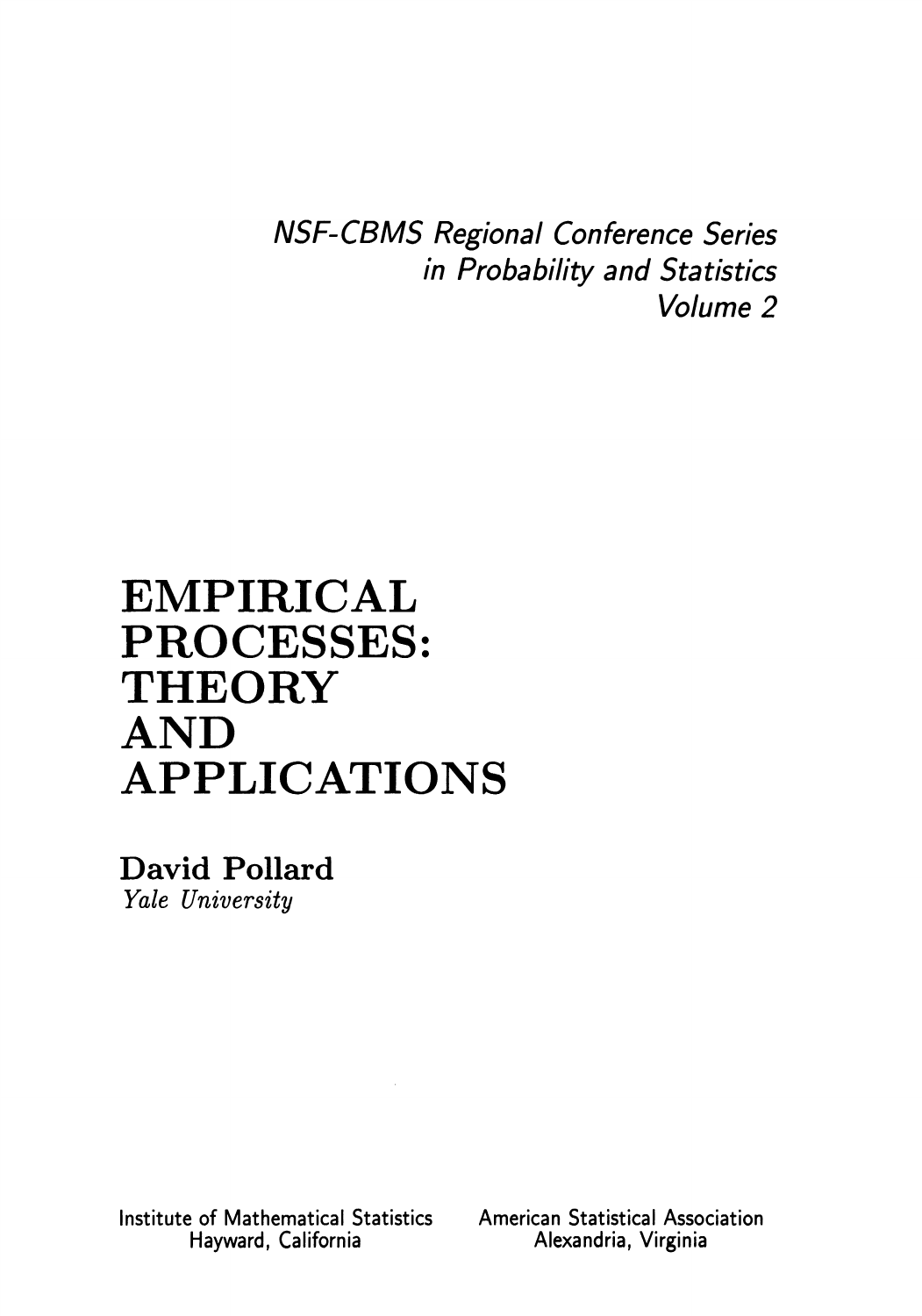*NSF-CBMS Regional Conference Series in Probability and Statistics Volume 2* 

## EMPIRICAL PROCESSES: **THEORY** AND APPLICATIONS

David Pollard *Yale University* 

Institute of Mathematical Statistics American Statistical Association

Alexandria, Virginia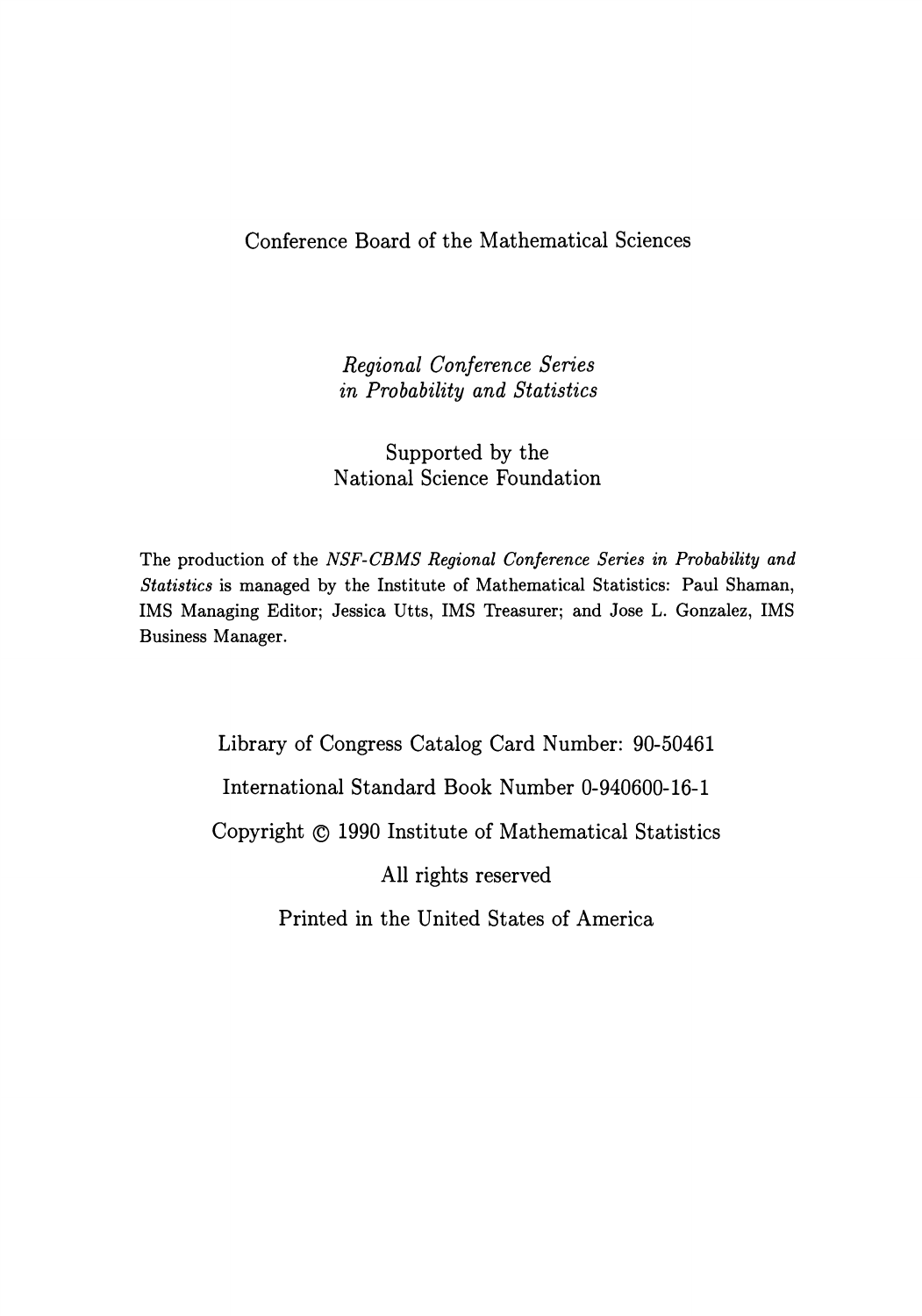## Conference Board of the Mathematical Sciences

*Regional Conference Series in Probability and Statistics* 

Supported by the National Science Foundation

The production of the *NSF-GEMS Regional Conference Series in Probability and Statistics* is managed by the Institute of Mathematical Statistics: Paul Shaman, IMS Managing Editor; Jessica Utts, IMS Treasurer; and Jose L. Gonzalez, IMS Business Manager.

> Library of Congress Catalog Card Number: 90-50461 International Standard Book Number 0-940600-16-1 Copyright © 1990 Institute of Mathematical Statistics All rights reserved Printed in the United States of America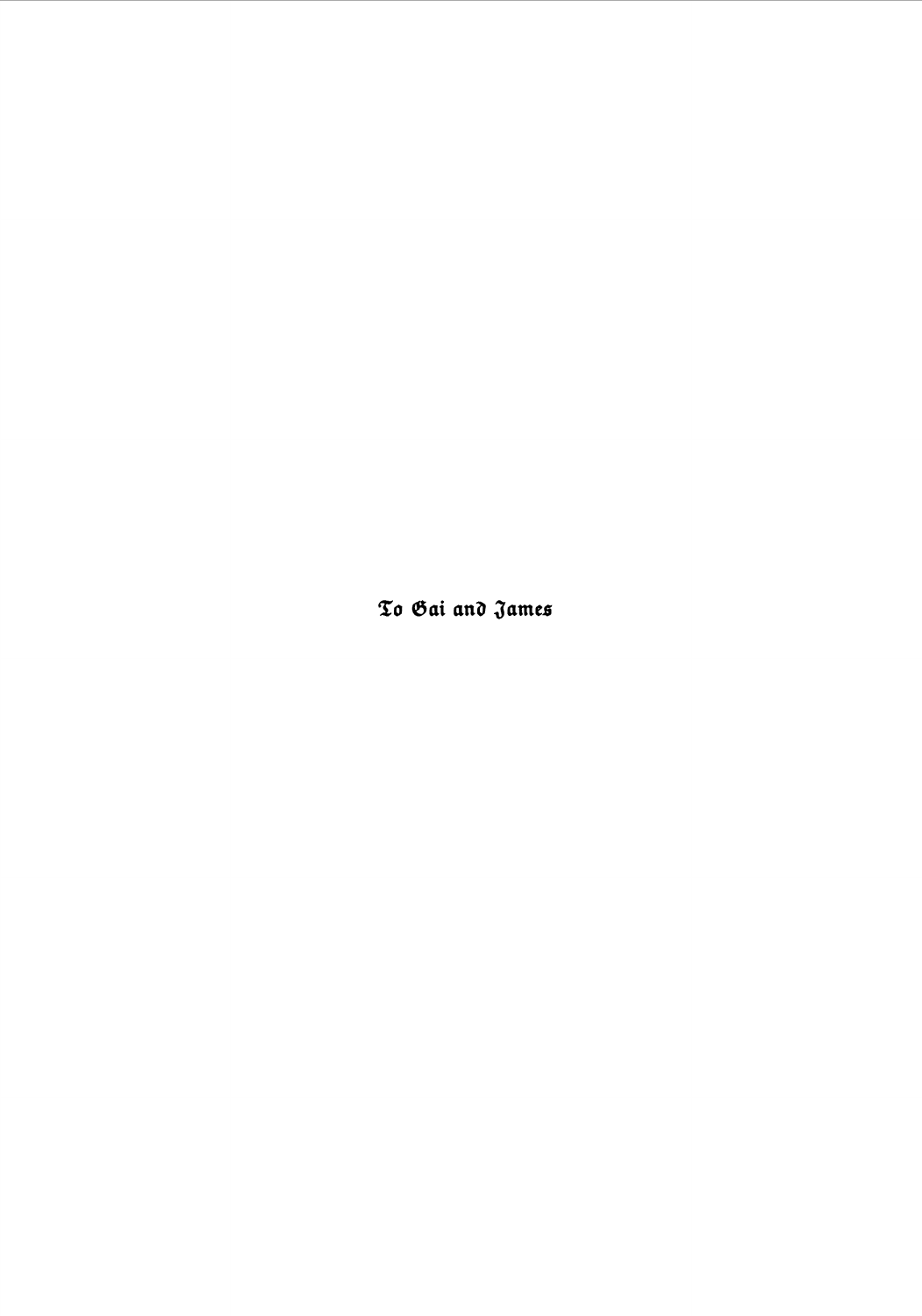To Gai and James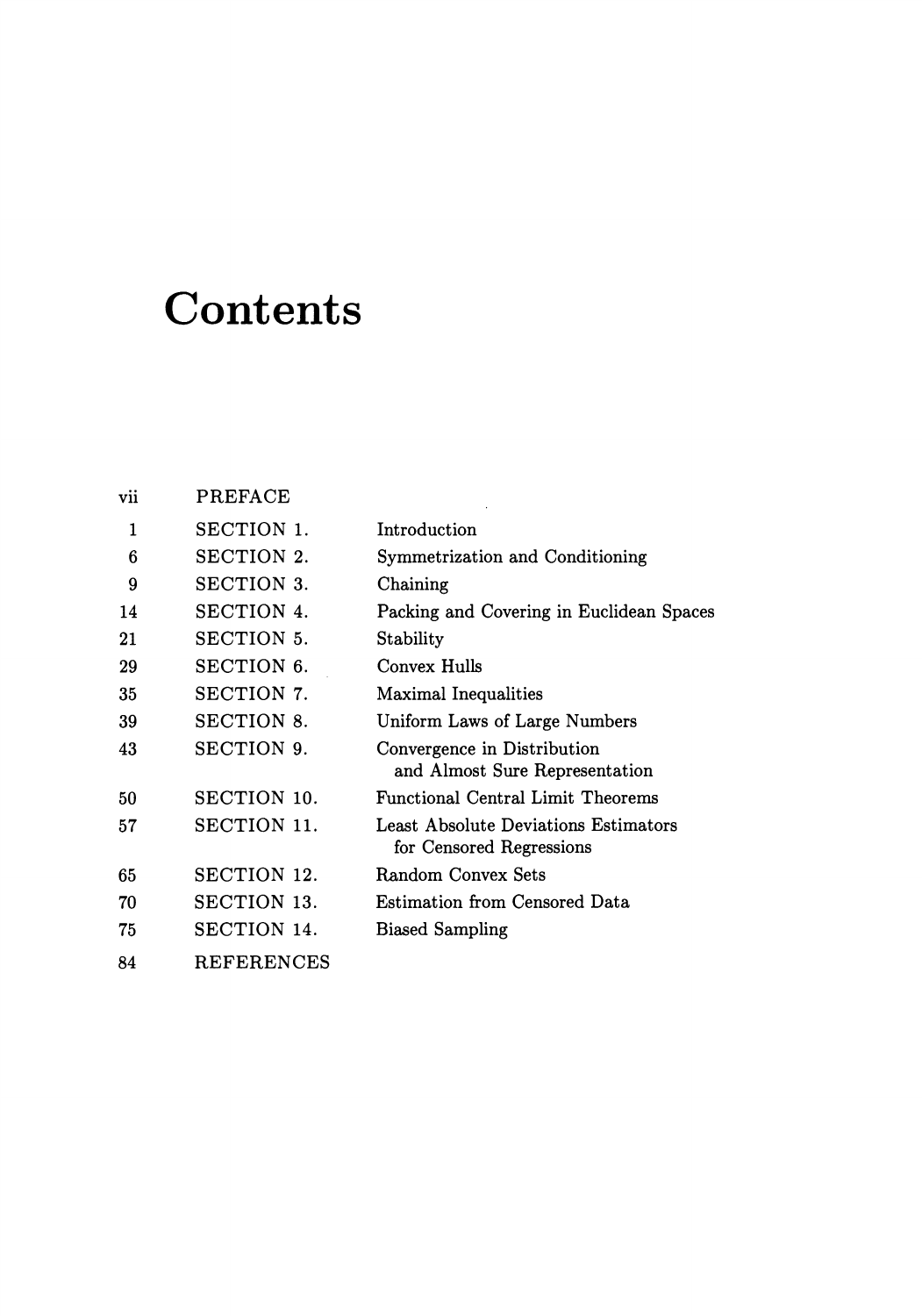## **Contents**

| vii | PREFACE           |                                                                  |
|-----|-------------------|------------------------------------------------------------------|
| 1   | SECTION 1.        | Introduction                                                     |
| 6   | SECTION 2.        | Symmetrization and Conditioning                                  |
| 9   | SECTION 3.        | Chaining                                                         |
| 14  | SECTION 4.        | Packing and Covering in Euclidean Spaces                         |
| 21  | SECTION 5.        | Stability                                                        |
| 29  | SECTION 6.        | Convex Hulls                                                     |
| 35  | SECTION 7.        | Maximal Inequalities                                             |
| 39  | SECTION 8.        | Uniform Laws of Large Numbers                                    |
| 43  | SECTION 9.        | Convergence in Distribution<br>and Almost Sure Representation    |
| 50  | SECTION 10.       | Functional Central Limit Theorems                                |
| 57  | SECTION 11.       | Least Absolute Deviations Estimators<br>for Censored Regressions |
| 65  | SECTION 12.       | Random Convex Sets                                               |
| 70  | SECTION 13.       | Estimation from Censored Data                                    |
| 75  | SECTION 14.       | <b>Biased Sampling</b>                                           |
| 84  | <b>REFERENCES</b> |                                                                  |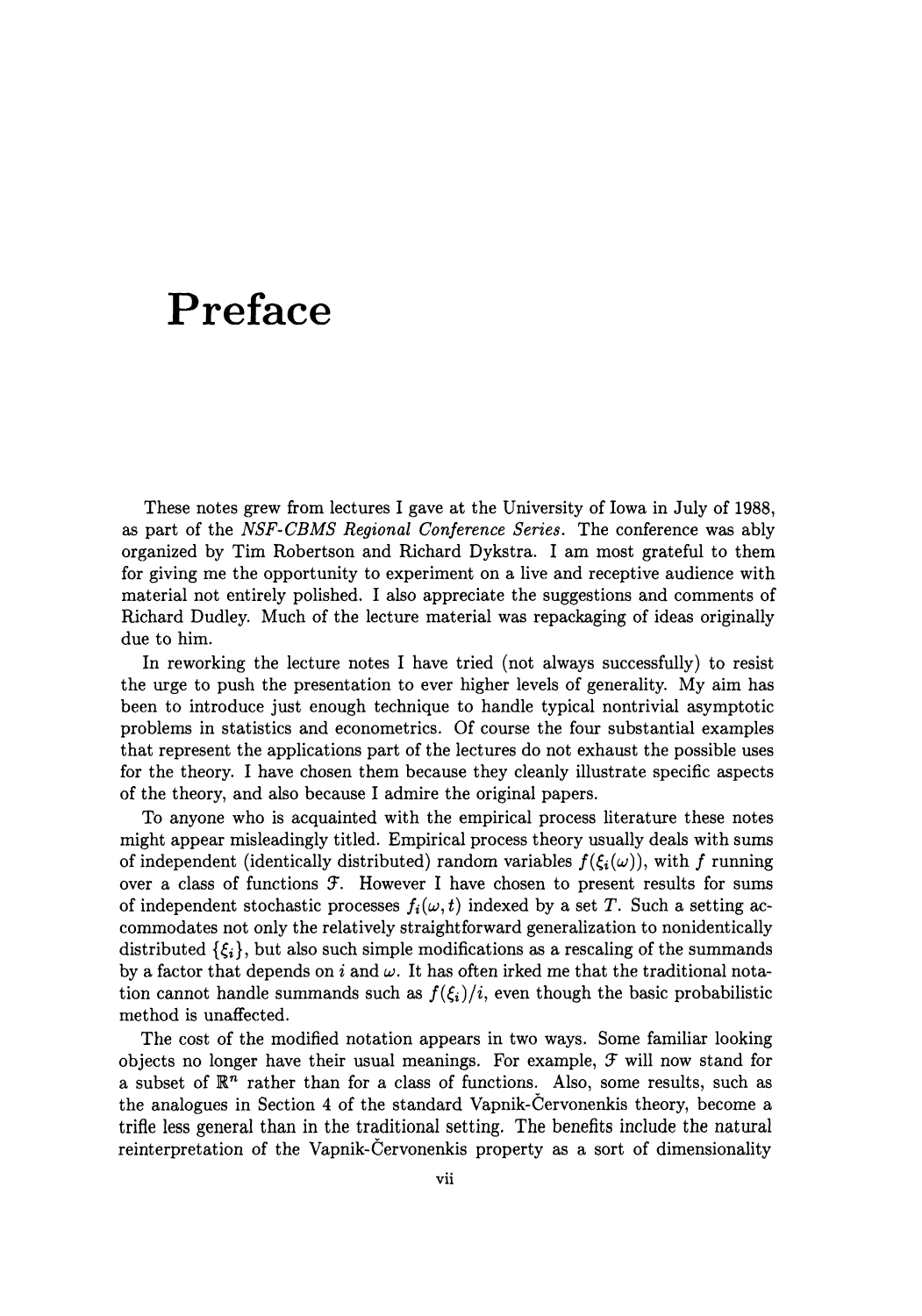## **Preface**

These notes grew from lectures I gave at the University of Iowa in July of 1988, as part of the *NSF-CBMS Regional Conference Series.* The conference was ably organized by Tim Robertson and Richard Dykstra. I am most grateful to them for giving me the opportunity to experiment on a live and receptive audience with material not entirely polished. I also appreciate the suggestions and comments of Richard Dudley. Much of the lecture material was repackaging of ideas originally due to him.

In reworking the lecture notes I have tried (not always successfully) to resist the urge to push the presentation to ever higher levels of generality. My aim has been to introduce just enough technique to handle typical nontrivial asymptotic problems in statistics and econometrics. Of course the four substantial examples that represent the applications part of the lectures do not exhaust the possible uses for the theory. I have chosen them because they cleanly illustrate specific aspects of the theory, and also because I admire the original papers.

To anyone who is acquainted with the empirical process literature these notes might appear misleadingly titled. Empirical process theory usually deals with sums of independent (identically distributed) random variables  $f(\xi_i(\omega))$ , with f running over a class of functions  $\mathcal{F}$ . However I have chosen to present results for sums of independent stochastic processes  $f_i(\omega, t)$  indexed by a set *T*. Such a setting accommodates not only the relatively straightforward generalization to nonidentically distributed  $\{\xi_i\}$ , but also such simple modifications as a rescaling of the summands by a factor that depends on i and  $\omega$ . It has often irked me that the traditional notation cannot handle summands such as  $f(\xi_i)/i$ , even though the basic probabilistic method is unaffected.

The cost of the modified notation appears in two ways. Some familiar looking objects no longer have their usual meanings. For example,  $\mathcal F$  will now stand for a subset of  $\mathbb{R}^n$  rather than for a class of functions. Also, some results, such as the analogues in Section 4 of the standard Vapnik-Cervonenkis theory, become a trifle less general than in the traditional setting. The benefits include the natural reinterpretation of the Vapnik-Cervonenkis property as a sort of dimensionality